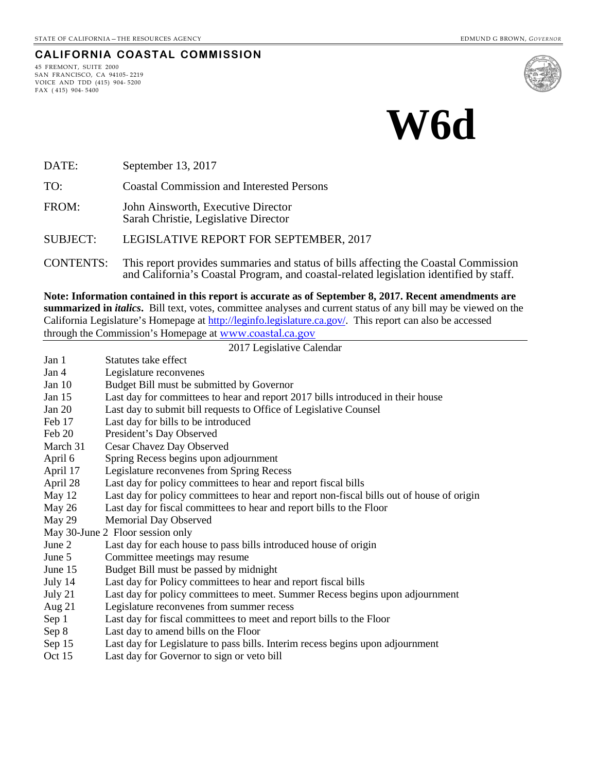#### **CALIFORNIA COASTAL COMMISSION**

45 FREMONT, SUITE 2000 SAN FRANCISCO, CA 94105- 2219 VOICE AND TDD (415) 904- 5200 FAX ( 415) 904- 5400



# **W6d**

DATE: September 13, 2017

TO: Coastal Commission and Interested Persons

FROM: John Ainsworth, Executive Director Sarah Christie, Legislative Director

#### SUBJECT: LEGISLATIVE REPORT FOR SEPTEMBER, 2017

CONTENTS: This report provides summaries and status of bills affecting the Coastal Commission and California's Coastal Program, and coastal-related legislation identified by staff.

**Note: Information contained in this report is accurate as of September 8, 2017. Recent amendments are summarized in** *italics***.** Bill text, votes, committee analyses and current status of any bill may be viewed on the California Legislature's Homepage at [http://leginfo.legislature.ca.gov/.](http://leginfo.legislature.ca.gov/) This report can also be accessed through the Commission's Homepage at [www.coastal.ca.gov](http://www.coastal.ca.gov/)

#### 2017 Legislative Calendar Jan 1 Statutes take effect Jan 4 Legislature reconvenes Jan 10 Budget Bill must be submitted by Governor Jan 15 Last day for committees to hear and report 2017 bills introduced in their house Jan 20 Last day to submit bill requests to Office of Legislative Counsel Feb 17 Last day for bills to be introduced<br>Feb 20 President's Day Observed President's Day Observed March 31 Cesar Chavez Day Observed April 6 Spring Recess begins upon adjournment April 17 Legislature reconvenes from Spring Recess April 28 Last day for policy committees to hear and report fiscal bills May 12 Last day for policy committees to hear and report non-fiscal bills out of house of origin May 26 Last day for fiscal committees to hear and report bills to the Floor May 29 Memorial Day Observed May 30-June 2 Floor session only<br>June 2 Last day for each ho Last day for each house to pass bills introduced house of origin June 5 Committee meetings may resume June 15 Budget Bill must be passed by midnight July 14 Last day for Policy committees to hear and report fiscal bills July 21 Last day for policy committees to meet. Summer Recess begins upon adjournment Aug 21 Legislature reconvenes from summer recess Sep 1 Last day for fiscal committees to meet and report bills to the Floor Sep 8 Last day to amend bills on the Floor Sep 15 Last day for Legislature to pass bills. Interim recess begins upon adjournment Oct 15 Last day for Governor to sign or veto bill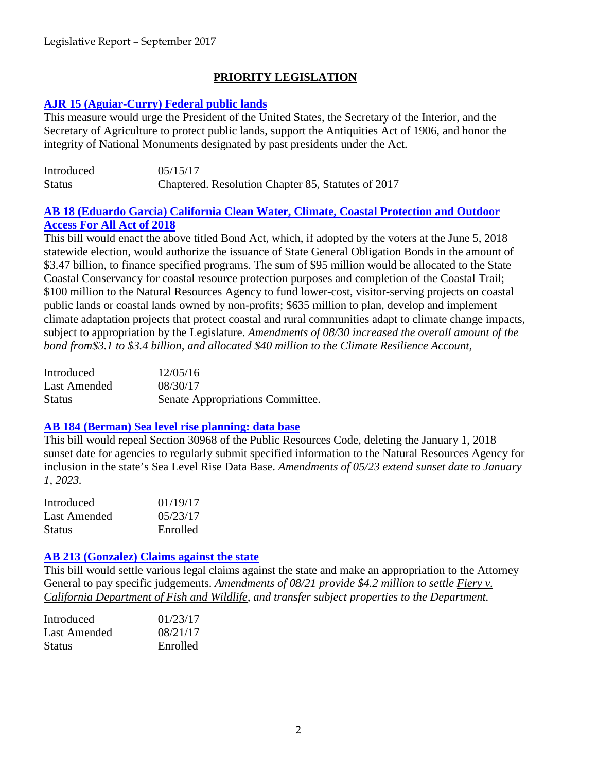# **PRIORITY LEGISLATION**

## **[AJR 15 \(Aguiar-Curry\) Federal public lands](http://leginfo.legislature.ca.gov/faces/billTextClient.xhtml?bill_id=201720180AJR15)**

This measure would urge the President of the United States, the Secretary of the Interior, and the Secretary of Agriculture to protect public lands, support the Antiquities Act of 1906, and honor the integrity of National Monuments designated by past presidents under the Act.

| Introduced    | 05/15/17                                           |
|---------------|----------------------------------------------------|
| <b>Status</b> | Chaptered. Resolution Chapter 85, Statutes of 2017 |

# **AB 18 (Eduardo Garcia) [California Clean Water, Climate, Coastal Protection and Outdoor](http://leginfo.legislature.ca.gov/faces/billNavClient.xhtml?bill_id=201720180AB18)  [Access For All Act of 2018](http://leginfo.legislature.ca.gov/faces/billNavClient.xhtml?bill_id=201720180AB18)**

This bill would enact the above titled Bond Act, which, if adopted by the voters at the June 5, 2018 statewide election, would authorize the issuance of State General Obligation Bonds in the amount of \$3.47 billion, to finance specified programs. The sum of \$95 million would be allocated to the State Coastal Conservancy for coastal resource protection purposes and completion of the Coastal Trail; \$100 million to the Natural Resources Agency to fund lower-cost, visitor-serving projects on coastal public lands or coastal lands owned by non-profits; \$635 million to plan, develop and implement climate adaptation projects that protect coastal and rural communities adapt to climate change impacts, subject to appropriation by the Legislature. *Amendments of 08/30 increased the overall amount of the bond from\$3.1 to \$3.4 billion, and allocated \$40 million to the Climate Resilience Account,* 

| Introduced    | 12/05/16                         |
|---------------|----------------------------------|
| Last Amended  | 08/30/17                         |
| <b>Status</b> | Senate Appropriations Committee. |

## **[AB 184 \(Berman\) Sea level rise planning: data base](http://leginfo.legislature.ca.gov/faces/billNavClient.xhtml?bill_id=201720180AB184)**

This bill would repeal Section 30968 of the Public Resources Code, deleting the January 1, 2018 sunset date for agencies to regularly submit specified information to the Natural Resources Agency for inclusion in the state's Sea Level Rise Data Base. *Amendments of 05/23 extend sunset date to January 1, 2023.*

| Introduced    | 01/19/17  |
|---------------|-----------|
| Last Amended  | 0.5/23/17 |
| <b>Status</b> | Enrolled  |

## **[AB 213 \(Gonzalez\) Claims against the state](http://leginfo.legislature.ca.gov/faces/billNavClient.xhtml?bill_id=201720180AB213)**

This bill would settle various legal claims against the state and make an appropriation to the Attorney General to pay specific judgements. *Amendments of 08/21 provide \$4.2 million to settle Fiery v. California Department of Fish and Wildlife, and transfer subject properties to the Department.*

| Introduced    | 01/23/17 |
|---------------|----------|
| Last Amended  | 08/21/17 |
| <b>Status</b> | Enrolled |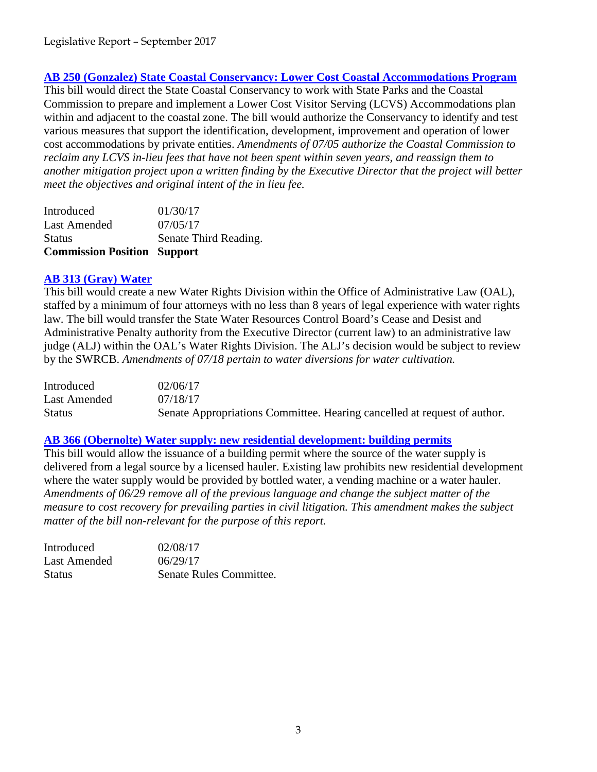## **AB 250 [\(Gonzalez\) State Coastal Conservancy: Lower Cost Coastal Accommodations Program](http://leginfo.legislature.ca.gov/faces/billNavClient.xhtml?bill_id=201720180AB250)**

This bill would direct the State Coastal Conservancy to work with State Parks and the Coastal Commission to prepare and implement a Lower Cost Visitor Serving (LCVS) Accommodations plan within and adjacent to the coastal zone. The bill would authorize the Conservancy to identify and test various measures that support the identification, development, improvement and operation of lower cost accommodations by private entities. *Amendments of 07/05 authorize the Coastal Commission to reclaim any LCVS in-lieu fees that have not been spent within seven years, and reassign them to another mitigation project upon a written finding by the Executive Director that the project will better meet the objectives and original intent of the in lieu fee.*

| <b>Commission Position Support</b> |                       |
|------------------------------------|-----------------------|
| <b>Status</b>                      | Senate Third Reading. |
| Last Amended                       | 07/05/17              |
| Introduced                         | 01/30/17              |

## **[AB 313 \(Gray\) Water](http://leginfo.legislature.ca.gov/faces/billNavClient.xhtml?bill_id=201720180AB313)**

This bill would create a new Water Rights Division within the Office of Administrative Law (OAL), staffed by a minimum of four attorneys with no less than 8 years of legal experience with water rights law. The bill would transfer the State Water Resources Control Board's Cease and Desist and Administrative Penalty authority from the Executive Director (current law) to an administrative law judge (ALJ) within the OAL's Water Rights Division. The ALJ's decision would be subject to review by the SWRCB. *Amendments of 07/18 pertain to water diversions for water cultivation.*

| Introduced    | 02/06/17                                                                 |
|---------------|--------------------------------------------------------------------------|
| Last Amended  | 07/18/17                                                                 |
| <b>Status</b> | Senate Appropriations Committee. Hearing cancelled at request of author. |

## **AB 366 [\(Obernolte\) Water supply: new residential development: building permits](http://leginfo.legislature.ca.gov/faces/billNavClient.xhtml?bill_id=201720180AB366)**

This bill would allow the issuance of a building permit where the source of the water supply is delivered from a legal source by a licensed hauler. Existing law prohibits new residential development where the water supply would be provided by bottled water, a vending machine or a water hauler. *Amendments of 06/29 remove all of the previous language and change the subject matter of the measure to cost recovery for prevailing parties in civil litigation. This amendment makes the subject matter of the bill non-relevant for the purpose of this report.*

| Introduced    | 02/08/17                |
|---------------|-------------------------|
| Last Amended  | 06/29/17                |
| <b>Status</b> | Senate Rules Committee. |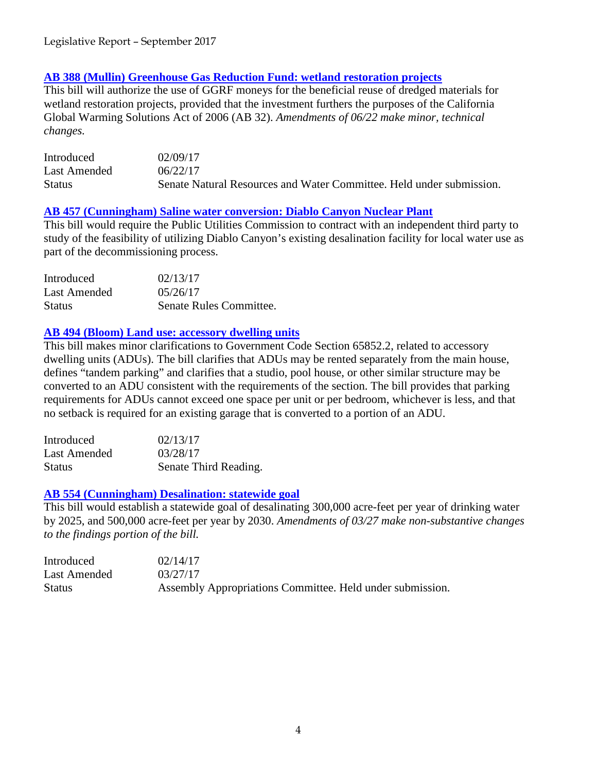## **[AB 388 \(Mullin\) Greenhouse Gas Reduction Fund: wetland restoration projects](http://leginfo.legislature.ca.gov/faces/billNavClient.xhtml?bill_id=201720180AB388)**

This bill will authorize the use of GGRF moneys for the beneficial reuse of dredged materials for wetland restoration projects, provided that the investment furthers the purposes of the California Global Warming Solutions Act of 2006 (AB 32). *Amendments of 06/22 make minor, technical changes.*

| Introduced    | 02/09/17                                                             |
|---------------|----------------------------------------------------------------------|
| Last Amended  | 06/22/17                                                             |
| <b>Status</b> | Senate Natural Resources and Water Committee. Held under submission. |

#### **AB 457 [\(Cunningham\) Saline water conversion: Diablo Canyon Nuclear Plant](http://leginfo.legislature.ca.gov/faces/billNavClient.xhtml?bill_id=201720180AB457)**

This bill would require the Public Utilities Commission to contract with an independent third party to study of the feasibility of utilizing Diablo Canyon's existing desalination facility for local water use as part of the decommissioning process.

| Introduced    | 02/13/17                |
|---------------|-------------------------|
| Last Amended  | 05/26/17                |
| <b>Status</b> | Senate Rules Committee. |

## **[AB 494 \(Bloom\) Land use: accessory dwelling units](http://leginfo.legislature.ca.gov/faces/billNavClient.xhtml?bill_id=201720180AB494)**

This bill makes minor clarifications to Government Code Section 65852.2, related to accessory dwelling units (ADUs). The bill clarifies that ADUs may be rented separately from the main house, defines "tandem parking" and clarifies that a studio, pool house, or other similar structure may be converted to an ADU consistent with the requirements of the section. The bill provides that parking requirements for ADUs cannot exceed one space per unit or per bedroom, whichever is less, and that no setback is required for an existing garage that is converted to a portion of an ADU.

| Introduced    | 02/13/17              |
|---------------|-----------------------|
| Last Amended  | 03/28/17              |
| <b>Status</b> | Senate Third Reading. |

#### **AB 554 [\(Cunningham\) Desalination: statewide goal](http://leginfo.legislature.ca.gov/faces/billNavClient.xhtml?bill_id=201720180AB554)**

This bill would establish a statewide goal of desalinating 300,000 acre-feet per year of drinking water by 2025, and 500,000 acre-feet per year by 2030. *Amendments of 03/27 make non-substantive changes to the findings portion of the bill.*

| Introduced    | 02/14/17                                                  |
|---------------|-----------------------------------------------------------|
| Last Amended  | 03/27/17                                                  |
| <b>Status</b> | Assembly Appropriations Committee. Held under submission. |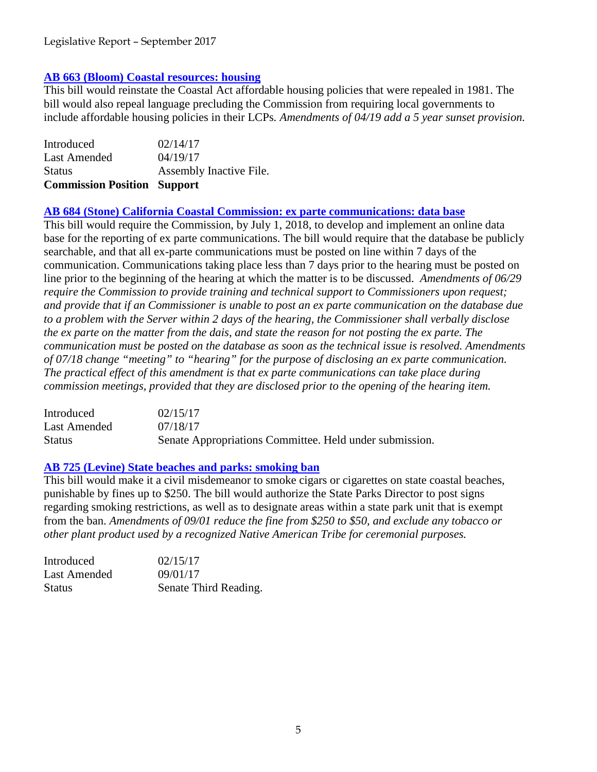## **AB 663 (Bloom) [Coastal resources: housing](http://leginfo.legislature.ca.gov/faces/billNavClient.xhtml?bill_id=201720180AB663)**

This bill would reinstate the Coastal Act affordable housing policies that were repealed in 1981. The bill would also repeal language precluding the Commission from requiring local governments to include affordable housing policies in their LCPs*. Amendments of 04/19 add a 5 year sunset provision.*

| <b>Commission Position Support</b> |
|------------------------------------|
| Assembly Inactive File.            |
| 04/19/17                           |
| 02/14/17                           |
|                                    |

## **AB 684 [\(Stone\) California Coastal Commission: ex parte communications: data base](http://leginfo.legislature.ca.gov/faces/billNavClient.xhtml?bill_id=201720180AB684)**

This bill would require the Commission, by July 1, 2018, to develop and implement an online data base for the reporting of ex parte communications. The bill would require that the database be publicly searchable, and that all ex-parte communications must be posted on line within 7 days of the communication. Communications taking place less than 7 days prior to the hearing must be posted on line prior to the beginning of the hearing at which the matter is to be discussed. *Amendments of 06/29 require the Commission to provide training and technical support to Commissioners upon request; and provide that if an Commissioner is unable to post an ex parte communication on the database due to a problem with the Server within 2 days of the hearing, the Commissioner shall verbally disclose the ex parte on the matter from the dais, and state the reason for not posting the ex parte. The communication must be posted on the database as soon as the technical issue is resolved. Amendments of 07/18 change "meeting" to "hearing" for the purpose of disclosing an ex parte communication. The practical effect of this amendment is that ex parte communications can take place during commission meetings, provided that they are disclosed prior to the opening of the hearing item.*

| Introduced    | 02/15/17                                                |
|---------------|---------------------------------------------------------|
| Last Amended  | 07/18/17                                                |
| <b>Status</b> | Senate Appropriations Committee. Held under submission. |

## **AB 725 (Levine) [State beaches and parks: smoking ban](http://leginfo.legislature.ca.gov/faces/billNavClient.xhtml?bill_id=201720180AB725)**

This bill would make it a civil misdemeanor to smoke cigars or cigarettes on state coastal beaches, punishable by fines up to \$250. The bill would authorize the State Parks Director to post signs regarding smoking restrictions, as well as to designate areas within a state park unit that is exempt from the ban. *Amendments of 09/01 reduce the fine from \$250 to \$50, and exclude any tobacco or other plant product used by a recognized Native American Tribe for ceremonial purposes.* 

| Introduced    | 02/15/17              |
|---------------|-----------------------|
| Last Amended  | 09/01/17              |
| <b>Status</b> | Senate Third Reading. |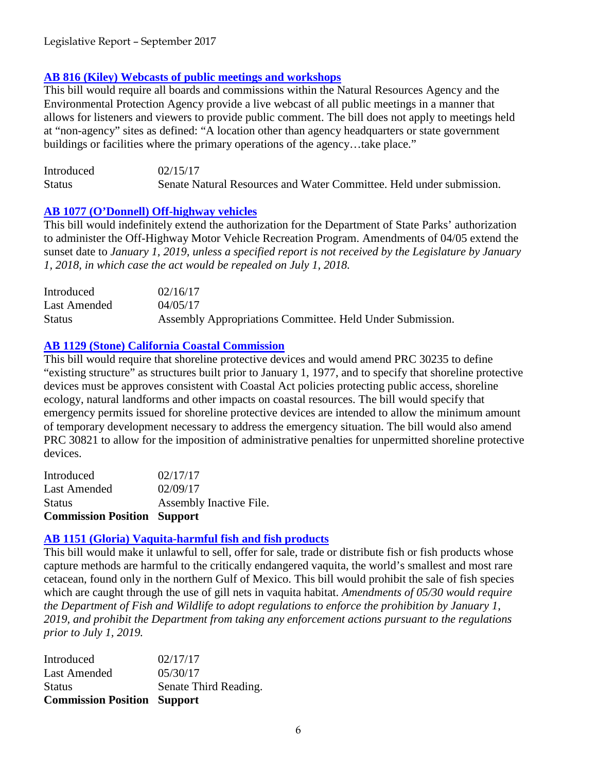#### **[AB 816 \(Kiley\) Webcasts of public meetings and workshops](http://leginfo.legislature.ca.gov/faces/billTextClient.xhtml?bill_id=201720180AB816)**

This bill would require all boards and commissions within the Natural Resources Agency and the Environmental Protection Agency provide a live webcast of all public meetings in a manner that allows for listeners and viewers to provide public comment. The bill does not apply to meetings held at "non-agency" sites as defined: "A location other than agency headquarters or state government buildings or facilities where the primary operations of the agency...take place."

| Introduced    | 02/15/17                                                             |
|---------------|----------------------------------------------------------------------|
| <b>Status</b> | Senate Natural Resources and Water Committee. Held under submission. |

## **[AB 1077 \(O'Donnell\) Off-highway vehicles](http://leginfo.legislature.ca.gov/faces/billNavClient.xhtml?bill_id=201720180AB1077)**

This bill would indefinitely extend the authorization for the Department of State Parks' authorization to administer the Off-Highway Motor Vehicle Recreation Program. Amendments of 04/05 extend the sunset date to *January 1, 2019, unless a specified report is not received by the Legislature by January 1, 2018, in which case the act would be repealed on July 1, 2018.*

| Introduced   | 02/16/17                                                  |
|--------------|-----------------------------------------------------------|
| Last Amended | 04/05/17                                                  |
| Status       | Assembly Appropriations Committee. Held Under Submission. |

## **[AB 1129 \(Stone\) California Coastal Commission](http://leginfo.legislature.ca.gov/faces/billNavClient.xhtml?bill_id=201720180AB1129)**

This bill would require that shoreline protective devices and would amend PRC 30235 to define "existing structure" as structures built prior to January 1, 1977, and to specify that shoreline protective devices must be approves consistent with Coastal Act policies protecting public access, shoreline ecology, natural landforms and other impacts on coastal resources. The bill would specify that emergency permits issued for shoreline protective devices are intended to allow the minimum amount of temporary development necessary to address the emergency situation. The bill would also amend PRC 30821 to allow for the imposition of administrative penalties for unpermitted shoreline protective devices.

| <b>Commission Position Support</b> |                         |
|------------------------------------|-------------------------|
| <b>Status</b>                      | Assembly Inactive File. |
| Last Amended                       | 02/09/17                |
| Introduced                         | 02/17/17                |

## **AB 1151 (Gloria) [Vaquita-harmful fish and fish products](http://leginfo.legislature.ca.gov/faces/billNavClient.xhtml?bill_id=201720180AB1151)**

This bill would make it unlawful to sell, offer for sale, trade or distribute fish or fish products whose capture methods are harmful to the critically endangered vaquita, the world's smallest and most rare cetacean, found only in the northern Gulf of Mexico. This bill would prohibit the sale of fish species which are caught through the use of gill nets in vaquita habitat. *Amendments of 05/30 would require the Department of Fish and Wildlife to adopt regulations to enforce the prohibition by January 1, 2019, and prohibit the Department from taking any enforcement actions pursuant to the regulations prior to July 1, 2019.*

| <b>Commission Position Support</b> |                       |
|------------------------------------|-----------------------|
| <b>Status</b>                      | Senate Third Reading. |
| <b>Last Amended</b>                | 05/30/17              |
| Introduced                         | 02/17/17              |
|                                    |                       |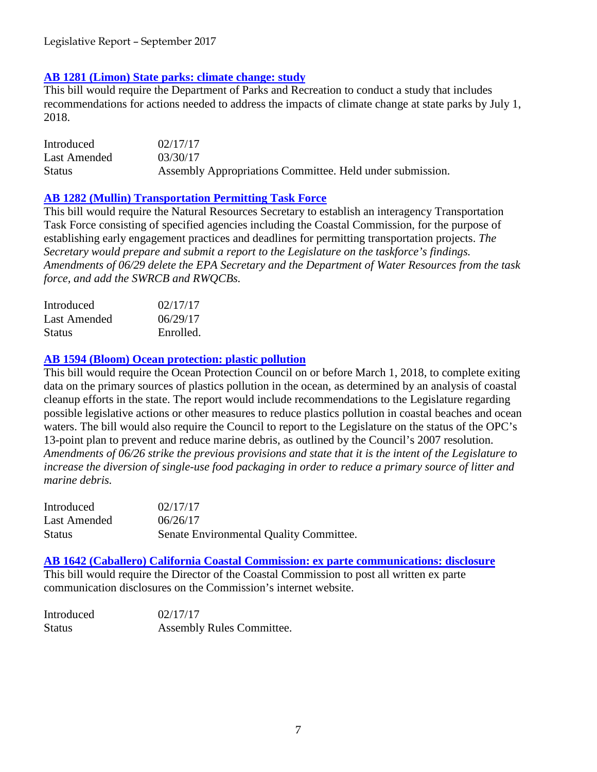## **[AB 1281 \(Limon\) State parks: climate change: study](http://leginfo.legislature.ca.gov/faces/billNavClient.xhtml?bill_id=201720180AB1281)**

This bill would require the Department of Parks and Recreation to conduct a study that includes recommendations for actions needed to address the impacts of climate change at state parks by July 1, 2018.

Introduced 02/17/17 Last Amended 03/30/17 Status Assembly Appropriations Committee. Held under submission.

#### **[AB 1282 \(Mullin\) Transportation Permitting Task Force](http://leginfo.legislature.ca.gov/faces/billNavClient.xhtml?bill_id=201720180AB1282)**

This bill would require the Natural Resources Secretary to establish an interagency Transportation Task Force consisting of specified agencies including the Coastal Commission, for the purpose of establishing early engagement practices and deadlines for permitting transportation projects. *The Secretary would prepare and submit a report to the Legislature on the taskforce's findings. Amendments of 06/29 delete the EPA Secretary and the Department of Water Resources from the task force, and add the SWRCB and RWQCBs.*

| Introduced    | 02/17/17  |
|---------------|-----------|
| Last Amended  | 06/29/17  |
| <b>Status</b> | Enrolled. |

#### **[AB 1594 \(Bloom\) Ocean protection: plastic pollution](http://leginfo.legislature.ca.gov/faces/billNavClient.xhtml?bill_id=201720180AB1594)**

This bill would require the Ocean Protection Council on or before March 1, 2018, to complete exiting data on the primary sources of plastics pollution in the ocean, as determined by an analysis of coastal cleanup efforts in the state. The report would include recommendations to the Legislature regarding possible legislative actions or other measures to reduce plastics pollution in coastal beaches and ocean waters. The bill would also require the Council to report to the Legislature on the status of the OPC's 13-point plan to prevent and reduce marine debris, as outlined by the Council's 2007 resolution. *Amendments of 06/26 strike the previous provisions and state that it is the intent of the Legislature to increase the diversion of single-use food packaging in order to reduce a primary source of litter and marine debris.* 

| Introduced    | 02/17/17                                |
|---------------|-----------------------------------------|
| Last Amended  | 06/26/17                                |
| <b>Status</b> | Senate Environmental Quality Committee. |

**[AB 1642 \(Caballero\) California Coastal Commission: ex parte communications: disclosure](http://leginfo.legislature.ca.gov/faces/billNavClient.xhtml?bill_id=201720180AB1642)** This bill would require the Director of the Coastal Commission to post all written ex parte communication disclosures on the Commission's internet website.

| Introduced    | 02/17/17                  |
|---------------|---------------------------|
| <b>Status</b> | Assembly Rules Committee. |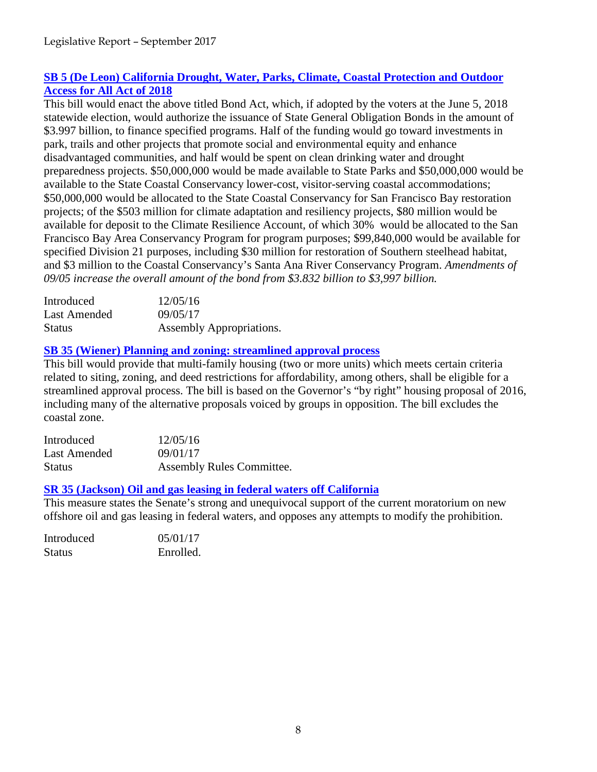## **[SB 5 \(De Leon\) California Drought, Water, Parks, Climate, Coastal Protection and Outdoor](http://leginfo.legislature.ca.gov/faces/billNavClient.xhtml?bill_id=201720180SB5)  [Access for All Act of 2018](http://leginfo.legislature.ca.gov/faces/billNavClient.xhtml?bill_id=201720180SB5)**

This bill would enact the above titled Bond Act, which, if adopted by the voters at the June 5, 2018 statewide election, would authorize the issuance of State General Obligation Bonds in the amount of \$3.997 billion, to finance specified programs. Half of the funding would go toward investments in park, trails and other projects that promote social and environmental equity and enhance disadvantaged communities, and half would be spent on clean drinking water and drought preparedness projects. \$50,000,000 would be made available to State Parks and \$50,000,000 would be available to the State Coastal Conservancy lower-cost, visitor-serving coastal accommodations; \$50,000,000 would be allocated to the State Coastal Conservancy for San Francisco Bay restoration projects; of the \$503 million for climate adaptation and resiliency projects, \$80 million would be available for deposit to the Climate Resilience Account, of which 30% would be allocated to the San Francisco Bay Area Conservancy Program for program purposes; \$99,840,000 would be available for specified Division 21 purposes, including \$30 million for restoration of Southern steelhead habitat, and \$3 million to the Coastal Conservancy's Santa Ana River Conservancy Program. *Amendments of 09/05 increase the overall amount of the bond from \$3.832 billion to \$3,997 billion.*

| Introduced    | 12/05/16                 |
|---------------|--------------------------|
| Last Amended  | 09/05/17                 |
| <b>Status</b> | Assembly Appropriations. |

# **[SB 35 \(Wiener\) Planning and zoning: streamlined approval process](http://leginfo.legislature.ca.gov/faces/billVersionsCompareClient.xhtml?bill_id=201720180SB35&cversion=20170SB3594AMD)**

This bill would provide that multi-family housing (two or more units) which meets certain criteria related to siting, zoning, and deed restrictions for affordability, among others, shall be eligible for a streamlined approval process. The bill is based on the Governor's "by right" housing proposal of 2016, including many of the alternative proposals voiced by groups in opposition. The bill excludes the coastal zone.

| Introduced    | 12/05/16                         |
|---------------|----------------------------------|
| Last Amended  | 09/01/17                         |
| <b>Status</b> | <b>Assembly Rules Committee.</b> |

## **[SR 35 \(Jackson\) Oil and gas leasing in federal waters off California](http://leginfo.legislature.ca.gov/faces/billTextClient.xhtml?bill_id=201720180SR35&search_keywords=Marine+Sanctuaries)**

This measure states the Senate's strong and unequivocal support of the current moratorium on new offshore oil and gas leasing in federal waters, and opposes any attempts to modify the prohibition.

| Introduced    | 05/01/17  |
|---------------|-----------|
| <b>Status</b> | Enrolled. |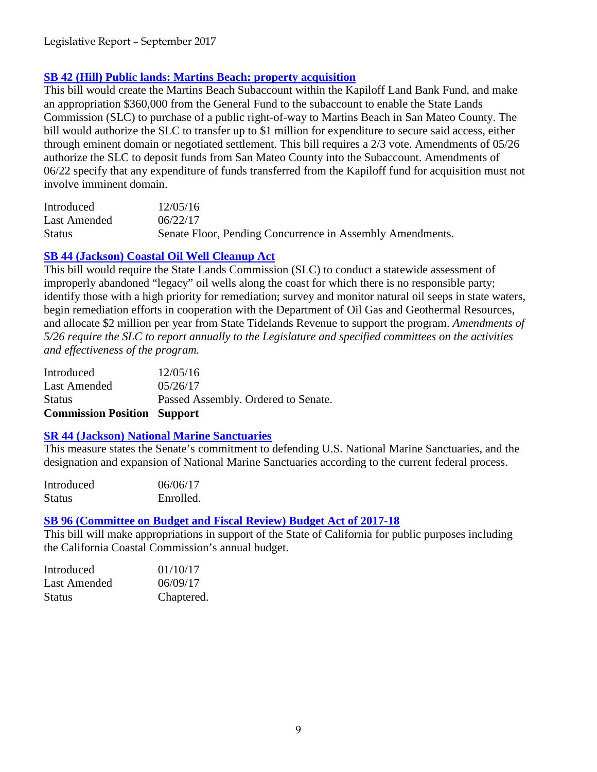#### **[SB 42 \(Hill\) Public lands: Martins Beach: property acquisition](http://leginfo.legislature.ca.gov/faces/billNavClient.xhtml?bill_id=201720180SB42)**

This bill would create the Martins Beach Subaccount within the Kapiloff Land Bank Fund, and make an appropriation \$360,000 from the General Fund to the subaccount to enable the State Lands Commission (SLC) to purchase of a public right-of-way to Martins Beach in San Mateo County. The bill would authorize the SLC to transfer up to \$1 million for expenditure to secure said access, either through eminent domain or negotiated settlement. This bill requires a 2/3 vote. Amendments of 05/26 authorize the SLC to deposit funds from San Mateo County into the Subaccount. Amendments of 06/22 specify that any expenditure of funds transferred from the Kapiloff fund for acquisition must not involve imminent domain.

| Introduced    | 12/05/16                                                  |
|---------------|-----------------------------------------------------------|
| Last Amended  | 06/22/17                                                  |
| <b>Status</b> | Senate Floor, Pending Concurrence in Assembly Amendments. |

## **[SB 44 \(Jackson\) Coastal Oil Well Cleanup Act](http://leginfo.legislature.ca.gov/faces/billNavClient.xhtml?bill_id=201720180SB44)**

This bill would require the State Lands Commission (SLC) to conduct a statewide assessment of improperly abandoned "legacy" oil wells along the coast for which there is no responsible party; identify those with a high priority for remediation; survey and monitor natural oil seeps in state waters, begin remediation efforts in cooperation with the Department of Oil Gas and Geothermal Resources, and allocate \$2 million per year from State Tidelands Revenue to support the program. *Amendments of 5/26 require the SLC to report annually to the Legislature and specified committees on the activities and effectiveness of the program.*

| Introduced                         | 12/05/16                            |
|------------------------------------|-------------------------------------|
| <b>Last Amended</b>                | 05/26/17                            |
| <b>Status</b>                      | Passed Assembly. Ordered to Senate. |
| <b>Commission Position Support</b> |                                     |

## **SR 44 [\(Jackson\) National Marine Sanctuaries](http://leginfo.legislature.ca.gov/faces/billNavClient.xhtml?bill_id=201720180SR44)**

This measure states the Senate's commitment to defending U.S. National Marine Sanctuaries, and the designation and expansion of National Marine Sanctuaries according to the current federal process.

| Introduced    | 06/06/17  |
|---------------|-----------|
| <b>Status</b> | Enrolled. |

#### **[SB 96 \(Committee on Budget and Fiscal Review\) Budget Act of 2017-18](http://leginfo.legislature.ca.gov/faces/billNavClient.xhtml?bill_id=201720180SB96)**

This bill will make appropriations in support of the State of California for public purposes including the California Coastal Commission's annual budget.

| Introduced   | 01/10/17   |
|--------------|------------|
| Last Amended | 06/09/17   |
| Status       | Chaptered. |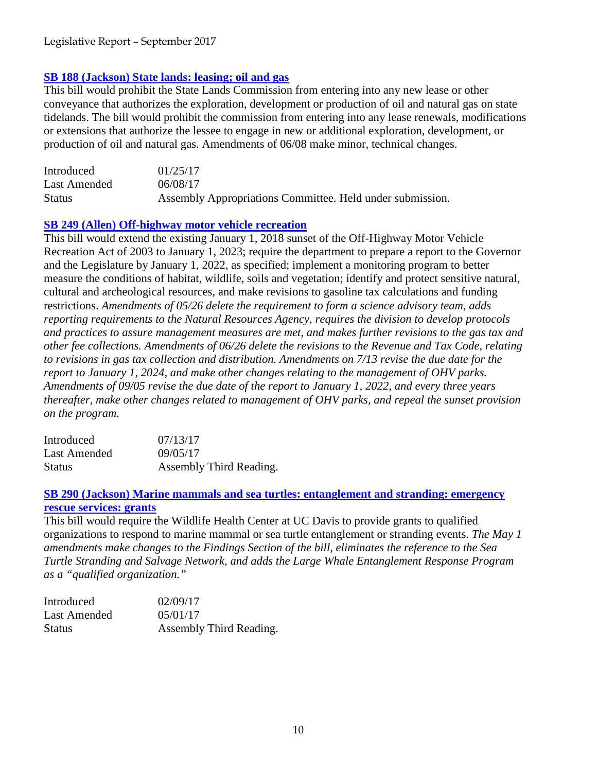## **SB 188 (Jackson) [State lands: leasing; oil and gas](http://leginfo.legislature.ca.gov/faces/billNavClient.xhtml?bill_id=201720180SB188)**

This bill would prohibit the State Lands Commission from entering into any new lease or other conveyance that authorizes the exploration, development or production of oil and natural gas on state tidelands. The bill would prohibit the commission from entering into any lease renewals, modifications or extensions that authorize the lessee to engage in new or additional exploration, development, or production of oil and natural gas. Amendments of 06/08 make minor, technical changes.

| Introduced    | 01/25/17                                                  |
|---------------|-----------------------------------------------------------|
| Last Amended  | 06/08/17                                                  |
| <b>Status</b> | Assembly Appropriations Committee. Held under submission. |

## **[SB 249 \(Allen\) Off-highway motor vehicle recreation](http://leginfo.legislature.ca.gov/faces/billNavClient.xhtml?bill_id=201720180SB249)**

This bill would extend the existing January 1, 2018 sunset of the Off-Highway Motor Vehicle Recreation Act of 2003 to January 1, 2023; require the department to prepare a report to the Governor and the Legislature by January 1, 2022, as specified; implement a monitoring program to better measure the conditions of habitat, wildlife, soils and vegetation; identify and protect sensitive natural, cultural and archeological resources, and make revisions to gasoline tax calculations and funding restrictions. *Amendments of 05/26 delete the requirement to form a science advisory team, adds reporting requirements to the Natural Resources Agency, requires the division to develop protocols and practices to assure management measures are met, and makes further revisions to the gas tax and other fee collections. Amendments of 06/26 delete the revisions to the Revenue and Tax Code, relating to revisions in gas tax collection and distribution. Amendments on 7/13 revise the due date for the report to January 1, 2024, and make other changes relating to the management of OHV parks. Amendments of 09/05 revise the due date of the report to January 1, 2022, and every three years thereafter, make other changes related to management of OHV parks, and repeal the sunset provision on the program.*

| Introduced    | 07/13/17                |
|---------------|-------------------------|
| Last Amended  | 09/05/17                |
| <b>Status</b> | Assembly Third Reading. |

## **SB 290 (Jackson) [Marine mammals and sea turtles: entanglement and stranding: emergency](http://leginfo.legislature.ca.gov/faces/billNavClient.xhtml?bill_id=201720180SB290)  [rescue services: grants](http://leginfo.legislature.ca.gov/faces/billNavClient.xhtml?bill_id=201720180SB290)**

This bill would require the Wildlife Health Center at UC Davis to provide grants to qualified organizations to respond to marine mammal or sea turtle entanglement or stranding events. *The May 1 amendments make changes to the Findings Section of the bill, eliminates the reference to the Sea Turtle Stranding and Salvage Network, and adds the Large Whale Entanglement Response Program as a "qualified organization."*

| Introduced    | 02/09/17                |
|---------------|-------------------------|
| Last Amended  | 0.5/01/17               |
| <b>Status</b> | Assembly Third Reading. |